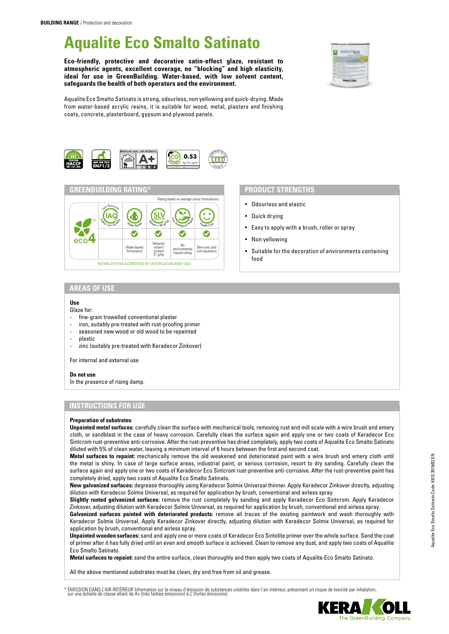# **Aqualite Eco Smalto Satinato**

**Eco-friendly, protective and decorative satin-effect glaze, resistant to atmospheric agents, excellent coverage, no "blocking" and high elasticity, ideal for use in GreenBuilding. Water-based, with low solvent content, safeguards the health of both operators and the environment.**



Aqualite Eco Smalto Satinato is strong, odourless, non yellowing and quick-drying. Made from water-based acrylic resins, it is suitable for wood, metal, plasters and finishing coats, concrete, plasterboard, gypsum and plywood panels.





## **PRODUCT STRENGTHS**

- Odourless and elastic
- Quick drying
- Easy to apply with a brush, roller or spray
- Non yellowing
- Suitable for the decoration of environments containing food

## **AREAS OF USE**

#### **Use**

#### Glaze for:

- fine-grain trowelled conventional plaster
- iron, suitably pre-treated with rust-proofing primer
- seasoned new wood or old wood to be repainted
- plastic
- zinc (suitably pre-treated with Keradecor Zinkover)

For internal and external use

#### **Do not use**

In the presence of rising damp.

## **INSTRUCTIONS FOR USE**

#### **Preparation of substrates**

**Unpainted metal surfaces:** carefully clean the surface with mechanical tools, removing rust and mill scale with a wire brush and emery cloth, or sandblast in the case of heavy corrosion. Carefully clean the surface again and apply one or two coats of Keradecor Eco Sintcrom rust-preventive anti-corrosive. After the rust-preventive has dried completely, apply two coats of Aqualite Eco Smalto Satinato diluted with 5% of clean water, leaving a minimum interval of 6 hours between the first and second coat.

**Metal surfaces to repaint:** mechanically remove the old weakened and deteriorated paint with a wire brush and emery cloth until the metal is shiny. In case of large surface areas, industrial paint, or serious corrosion, resort to dry sanding. Carefully clean the surface again and apply one or two coats of Keradecor Eco Sintcrom rust-preventive anti-corrosive. After the rust-preventive paint has completely dried, apply two coats of Aqualite Eco Smalto Satinato.

**New galvanized surfaces:** degrease thoroughly using Keradecor Solmix Universal thinner. Apply Keradecor Zinkover directly, adjusting dilution with Keradecor Solmix Universal, as required for application by brush, conventional and airless spray.

**Slightly rusted galvanized surfaces:** remove the rust completely by sanding and apply Keradecor Eco Sintcrom. Apply Keradecor Zinkover, adjusting dilution with Keradecor Solmix Universal, as required for application by brush, conventional and airless spray.

**Galvanized surfaces painted with deteriorated products:** remove all traces of the existing paintwork and wash thoroughly with Keradecor Solmix Universal. Apply Keradecor Zinkover directly, adjusting dilution with Keradecor Solmix Universal, as required for application by brush, conventional and airless spray.

**Unpainted wooden surfaces:** sand and apply one or more coats of Keradecor Eco Sintolite primer over the whole surface. Sand the coat of primer after it has fully dried until an even and smooth surface is achieved. Clean to remove any dust, and apply two coats of Aqualite Eco Smalto Satinato.

**Metal surfaces to repaint:** sand the entire surface, clean thoroughly and then apply two coats of Aqualite Eco Smalto Satinato.

All the above mentioned substrates must be clean, dry and free from oil and grease.

ÉMISSION DANS L'AIR INTÉRIEUR Information sur le niveau d'émission de substances volatiles dans l'air intérieur, présentant un risque de toxicité par inhalation,<br>sur une échelle de classe allant de A+ (très faibles émissio

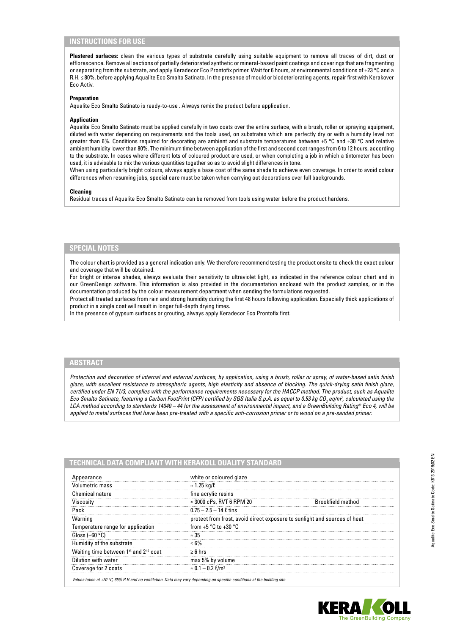## **INSTRUCTIONS FOR USE**

**Plastered surfaces:** clean the various types of substrate carefully using suitable equipment to remove all traces of dirt, dust or efflorescence. Remove all sections of partially deteriorated synthetic or mineral-based paint coatings and coverings that are fragmenting or separating from the substrate, and apply Keradecor Eco Prontofix primer. Wait for 6 hours, at environmental conditions of +23 °C and a R.H. ≤ 80%, before applying Aqualite Eco Smalto Satinato. In the presence of mould or biodeteriorating agents, repair first with Kerakover Eco Activ.

#### **Preparation**

Aqualite Eco Smalto Satinato is ready-to-use . Always remix the product before application.

#### **Application**

Aqualite Eco Smalto Satinato must be applied carefully in two coats over the entire surface, with a brush, roller or spraying equipment, diluted with water depending on requirements and the tools used, on substrates which are perfectly dry or with a humidity level not greater than 6%. Conditions required for decorating are ambient and substrate temperatures between +5 °C and +30 °C and relative ambient humidity lower than 80%. The minimum time between application of the first and second coat ranges from 6 to 12 hours, according to the substrate. In cases where different lots of coloured product are used, or when completing a job in which a tintometer has been used, it is advisable to mix the various quantities together so as to avoid slight differences in tone.

When using particularly bright colours, always apply a base coat of the same shade to achieve even coverage. In order to avoid colour differences when resuming jobs, special care must be taken when carrying out decorations over full backgrounds.

#### **Cleaning**

Residual traces of Aqualite Eco Smalto Satinato can be removed from tools using water before the product hardens.

### **SPECIAL NOTES**

The colour chart is provided as a general indication only. We therefore recommend testing the product onsite to check the exact colour and coverage that will be obtained.

For bright or intense shades, always evaluate their sensitivity to ultraviolet light, as indicated in the reference colour chart and in our GreenDesign software. This information is also provided in the documentation enclosed with the product samples, or in the documentation produced by the colour measurement department when sending the formulations requested.

Protect all treated surfaces from rain and strong humidity during the first 48 hours following application. Especially thick applications of product in a single coat will result in longer full-depth drying times.

In the presence of gypsum surfaces or grouting, always apply Keradecor Eco Prontofix first.

## **ABSTRACT**

*Protection and decoration of internal and external surfaces, by application, using a brush, roller or spray, of water-based satin finish glaze, with excellent resistance to atmospheric agents, high elasticity and absence of blocking. The quick-drying satin finish glaze, certified under EN 71/3, complies with the performance requirements necessary for the HACCP method. The product, such as Aqualite*  Eco Smalto Satinato, featuring a Carbon FootPrint (CFP) certified by SGS Italia S.p.A. as equal to 0.53 kg CO<sub>2</sub> eq/m<sup>2</sup>, calculated using the *LCA method according to standards 14040 – 44 for the assessment of environmental impact, and a GreenBuilding Rating® Eco 4, will be applied to metal surfaces that have been pre-treated with a specific anti-corrosion primer or to wood on a pre-sanded primer.*

| Appearance                                                    | white or coloured glaze                                                   |                          |
|---------------------------------------------------------------|---------------------------------------------------------------------------|--------------------------|
| Volumetric mass                                               | $\approx$ 1.25 kg/ $\ell$                                                 |                          |
| Chemical nature                                               | fine acrylic resins                                                       |                          |
| Viscosity                                                     | $\approx$ 3000 cPs, RVT 6 RPM 20                                          | <b>Brookfield method</b> |
| Pack                                                          | $0.75 - 2.5 - 14$ $\ell$ tins                                             |                          |
| Warning                                                       | protect from frost, avoid direct exposure to sunlight and sources of heat |                          |
| Temperature range for application                             | from $+5$ °C to $+30$ °C                                                  |                          |
| Gloss $(+60 °C)$                                              | $\approx 35$                                                              |                          |
| Humidity of the substrate                                     | $< 6\%$                                                                   |                          |
| Waiting time between 1 <sup>st</sup> and 2 <sup>nd</sup> coat | $> 6$ hrs                                                                 |                          |
| Dilution with water                                           | max 5% by volume                                                          |                          |
| Coverage for 2 coats                                          | $\approx 0.1 - 0.2$ $\ell/m^2$                                            |                          |

*Values taken at +20 °C, 65% R.H.and no ventilation. Data may vary depending on specific conditions at the building site.*